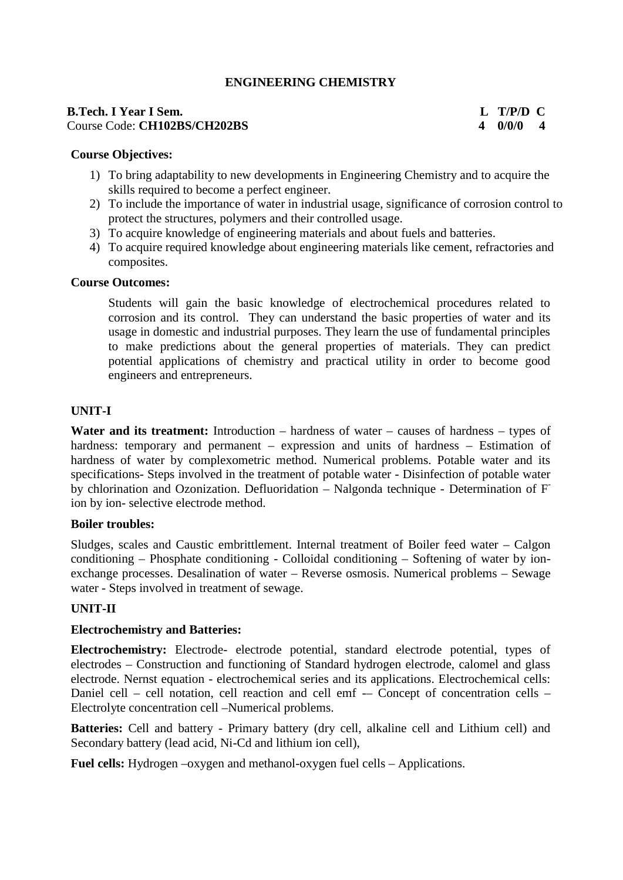# **ENGINEERING CHEMISTRY**

#### **B.Tech. I Year I Sem. L T/P/D C** Course Code: **CH102BS/CH202BS 4 0/0/0 4**

#### **Course Objectives:**

- 1) To bring adaptability to new developments in Engineering Chemistry and to acquire the skills required to become a perfect engineer.
- 2) To include the importance of water in industrial usage, significance of corrosion control to protect the structures, polymers and their controlled usage.
- 3) To acquire knowledge of engineering materials and about fuels and batteries.
- 4) To acquire required knowledge about engineering materials like cement, refractories and composites.

#### **Course Outcomes:**

Students will gain the basic knowledge of electrochemical procedures related to corrosion and its control. They can understand the basic properties of water and its usage in domestic and industrial purposes. They learn the use of fundamental principles to make predictions about the general properties of materials. They can predict potential applications of chemistry and practical utility in order to become good engineers and entrepreneurs.

### **UNIT-I**

**Water and its treatment:** Introduction – hardness of water – causes of hardness – types of hardness: temporary and permanent – expression and units of hardness – Estimation of hardness of water by complexometric method. Numerical problems. Potable water and its specifications- Steps involved in the treatment of potable water - Disinfection of potable water by chlorination and Ozonization. Defluoridation – Nalgonda technique - Determination of F ion by ion- selective electrode method.

#### **Boiler troubles:**

Sludges, scales and Caustic embrittlement. Internal treatment of Boiler feed water – Calgon conditioning – Phosphate conditioning - Colloidal conditioning – Softening of water by ion exchange processes. Desalination of water – Reverse osmosis. Numerical problems – Sewage water - Steps involved in treatment of sewage.

#### **UNIT-II**

#### **Electrochemistry and Batteries:**

**Electrochemistry:** Electrode- electrode potential, standard electrode potential, types of electrodes – Construction and functioning of Standard hydrogen electrode, calomel and glass electrode. Nernst equation - electrochemical series and its applications. Electrochemical cells: Daniel cell – cell notation, cell reaction and cell emf –– Concept of concentration cells – Electrolyte concentration cell –Numerical problems.

**Batteries:** Cell and battery - Primary battery (dry cell, alkaline cell and Lithium cell) and Secondary battery (lead acid, Ni-Cd and lithium ion cell),

**Fuel cells:** Hydrogen –oxygen and methanol-oxygen fuel cells – Applications.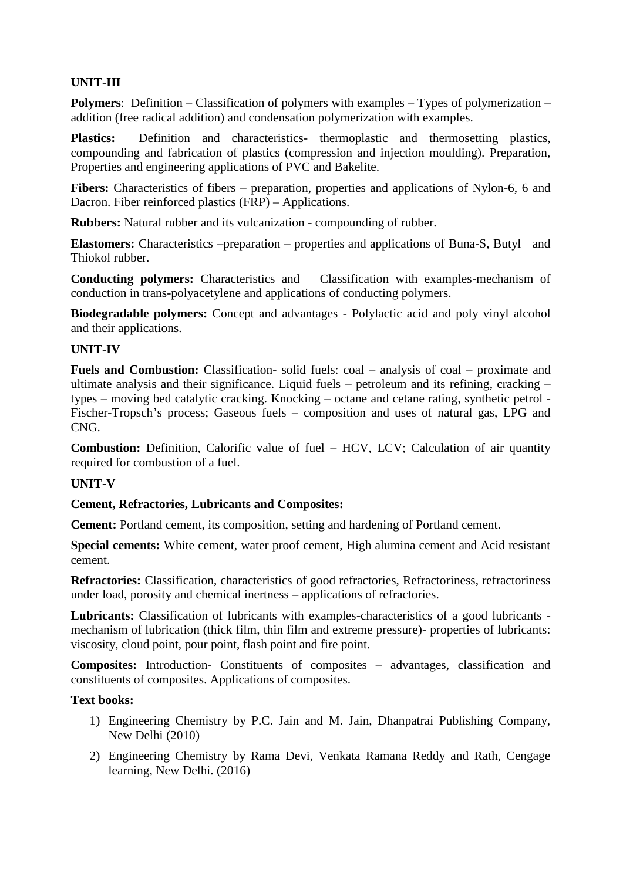# **UNIT-III**

**Polymers**: Definition – Classification of polymers with examples – Types of polymerization – addition (free radical addition) and condensation polymerization with examples.

**Plastics:** Definition and characteristics- thermoplastic and thermosetting plastics, compounding and fabrication of plastics (compression and injection moulding). Preparation, Properties and engineering applications of PVC and Bakelite.

**Fibers:** Characteristics of fibers – preparation, properties and applications of Nylon-6, 6 and Dacron. Fiber reinforced plastics (FRP) – Applications.

**Rubbers:** Natural rubber and its vulcanization - compounding of rubber.

**Elastomers:** Characteristics –preparation – properties and applications of Buna-S, Butyl and Thiokol rubber.

**Conducting polymers:** Characteristics and Classification with examples-mechanism of conduction in trans-polyacetylene and applications of conducting polymers.

**Biodegradable polymers:** Concept and advantages - Polylactic acid and poly vinyl alcohol and their applications.

### **UNIT-IV**

**Fuels and Combustion:** Classification- solid fuels: coal – analysis of coal – proximate and ultimate analysis and their significance. Liquid fuels – petroleum and its refining, cracking – types – moving bed catalytic cracking. Knocking – octane and cetane rating, synthetic petrol - Fischer-Tropsch's process; Gaseous fuels – composition and uses of natural gas, LPG and CNG.

**Combustion:** Definition, Calorific value of fuel – HCV, LCV; Calculation of air quantity required for combustion of a fuel.

#### **UNIT-V**

#### **Cement, Refractories, Lubricants and Composites:**

**Cement:** Portland cement, its composition, setting and hardening of Portland cement.

**Special cements:** White cement, water proof cement, High alumina cement and Acid resistant cement.

**Refractories:** Classification, characteristics of good refractories, Refractoriness, refractoriness under load, porosity and chemical inertness – applications of refractories.

**Lubricants:** Classification of lubricants with examples-characteristics of a good lubricants mechanism of lubrication (thick film, thin film and extreme pressure)- properties of lubricants: viscosity, cloud point, pour point, flash point and fire point.

**Composites:** Introduction- Constituents of composites – advantages, classification and constituents of composites. Applications of composites.

#### **Text books:**

- 1) Engineering Chemistry by P.C. Jain and M. Jain, Dhanpatrai Publishing Company, New Delhi (2010)
- 2) Engineering Chemistry by Rama Devi, Venkata Ramana Reddy and Rath, Cengage learning, New Delhi. (2016)